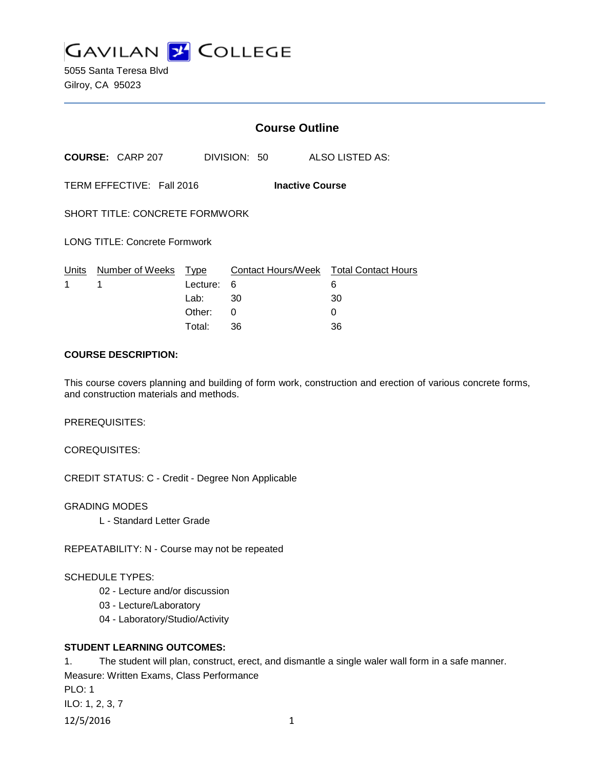

5055 Santa Teresa Blvd Gilroy, CA 95023

|                                                     |                           | <b>Course Outline</b>      |              |                                                        |  |  |
|-----------------------------------------------------|---------------------------|----------------------------|--------------|--------------------------------------------------------|--|--|
|                                                     | <b>COURSE: CARP 207</b>   |                            | DIVISION: 50 | ALSO LISTED AS:                                        |  |  |
| TERM EFFECTIVE: Fall 2016<br><b>Inactive Course</b> |                           |                            |              |                                                        |  |  |
| <b>SHORT TITLE: CONCRETE FORMWORK</b>               |                           |                            |              |                                                        |  |  |
| <b>LONG TITLE: Concrete Formwork</b>                |                           |                            |              |                                                        |  |  |
| Units<br>1                                          | Number of Weeks Type<br>1 | Lecture:<br>Lab:<br>Other: | 6<br>30<br>0 | Contact Hours/Week Total Contact Hours<br>6<br>30<br>0 |  |  |
|                                                     |                           | Total:                     | 36           | 36                                                     |  |  |

#### **COURSE DESCRIPTION:**

This course covers planning and building of form work, construction and erection of various concrete forms, and construction materials and methods.

PREREQUISITES:

COREQUISITES:

CREDIT STATUS: C - Credit - Degree Non Applicable

GRADING MODES

L - Standard Letter Grade

REPEATABILITY: N - Course may not be repeated

# SCHEDULE TYPES:

- 02 Lecture and/or discussion
- 03 Lecture/Laboratory
- 04 Laboratory/Studio/Activity

# **STUDENT LEARNING OUTCOMES:**

1. The student will plan, construct, erect, and dismantle a single waler wall form in a safe manner. Measure: Written Exams, Class Performance PLO: 1 ILO: 1, 2, 3, 7 12/5/2016 1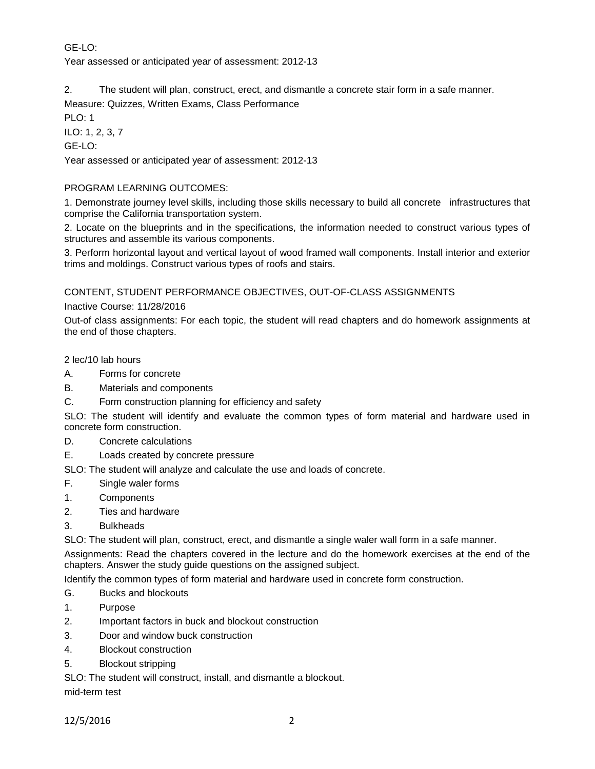# GE-LO:

Year assessed or anticipated year of assessment: 2012-13

2. The student will plan, construct, erect, and dismantle a concrete stair form in a safe manner.

Measure: Quizzes, Written Exams, Class Performance

PLO: 1

ILO: 1, 2, 3, 7

GE-LO:

Year assessed or anticipated year of assessment: 2012-13

# PROGRAM LEARNING OUTCOMES:

1. Demonstrate journey level skills, including those skills necessary to build all concrete infrastructures that comprise the California transportation system.

2. Locate on the blueprints and in the specifications, the information needed to construct various types of structures and assemble its various components.

3. Perform horizontal layout and vertical layout of wood framed wall components. Install interior and exterior trims and moldings. Construct various types of roofs and stairs.

CONTENT, STUDENT PERFORMANCE OBJECTIVES, OUT-OF-CLASS ASSIGNMENTS

Inactive Course: 11/28/2016

Out-of class assignments: For each topic, the student will read chapters and do homework assignments at the end of those chapters.

2 lec/10 lab hours

- A. Forms for concrete
- B. Materials and components
- C. Form construction planning for efficiency and safety

SLO: The student will identify and evaluate the common types of form material and hardware used in concrete form construction.

- D. Concrete calculations
- E. Loads created by concrete pressure

SLO: The student will analyze and calculate the use and loads of concrete.

- F. Single waler forms
- 1. Components
- 2. Ties and hardware
- 3. Bulkheads

SLO: The student will plan, construct, erect, and dismantle a single waler wall form in a safe manner.

Assignments: Read the chapters covered in the lecture and do the homework exercises at the end of the chapters. Answer the study guide questions on the assigned subject.

Identify the common types of form material and hardware used in concrete form construction.

- G. Bucks and blockouts
- 1. Purpose
- 2. Important factors in buck and blockout construction
- 3. Door and window buck construction
- 4. Blockout construction
- 5. Blockout stripping

SLO: The student will construct, install, and dismantle a blockout.

mid-term test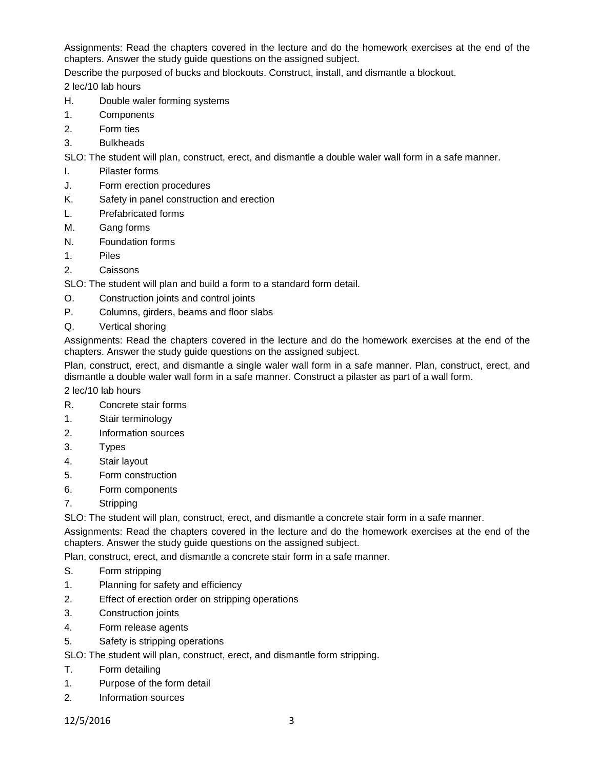Assignments: Read the chapters covered in the lecture and do the homework exercises at the end of the chapters. Answer the study guide questions on the assigned subject.

Describe the purposed of bucks and blockouts. Construct, install, and dismantle a blockout.

2 lec/10 lab hours

- H. Double waler forming systems
- 1. Components
- 2. Form ties
- 3. Bulkheads

SLO: The student will plan, construct, erect, and dismantle a double waler wall form in a safe manner.

- I. Pilaster forms
- J. Form erection procedures
- K. Safety in panel construction and erection
- L. Prefabricated forms
- M. Gang forms
- N. Foundation forms
- 1. Piles
- 2. Caissons

SLO: The student will plan and build a form to a standard form detail.

- O. Construction joints and control joints
- P. Columns, girders, beams and floor slabs
- Q. Vertical shoring

Assignments: Read the chapters covered in the lecture and do the homework exercises at the end of the chapters. Answer the study guide questions on the assigned subject.

Plan, construct, erect, and dismantle a single waler wall form in a safe manner. Plan, construct, erect, and dismantle a double waler wall form in a safe manner. Construct a pilaster as part of a wall form.

2 lec/10 lab hours

- R. Concrete stair forms
- 1. Stair terminology
- 2. Information sources
- 3. Types
- 4. Stair layout
- 5. Form construction
- 6. Form components
- 7. Stripping

SLO: The student will plan, construct, erect, and dismantle a concrete stair form in a safe manner.

Assignments: Read the chapters covered in the lecture and do the homework exercises at the end of the chapters. Answer the study guide questions on the assigned subject.

Plan, construct, erect, and dismantle a concrete stair form in a safe manner.

- S. Form stripping
- 1. Planning for safety and efficiency
- 2. Effect of erection order on stripping operations
- 3. Construction joints
- 4. Form release agents
- 5. Safety is stripping operations

SLO: The student will plan, construct, erect, and dismantle form stripping.

- T. Form detailing
- 1. Purpose of the form detail
- 2. Information sources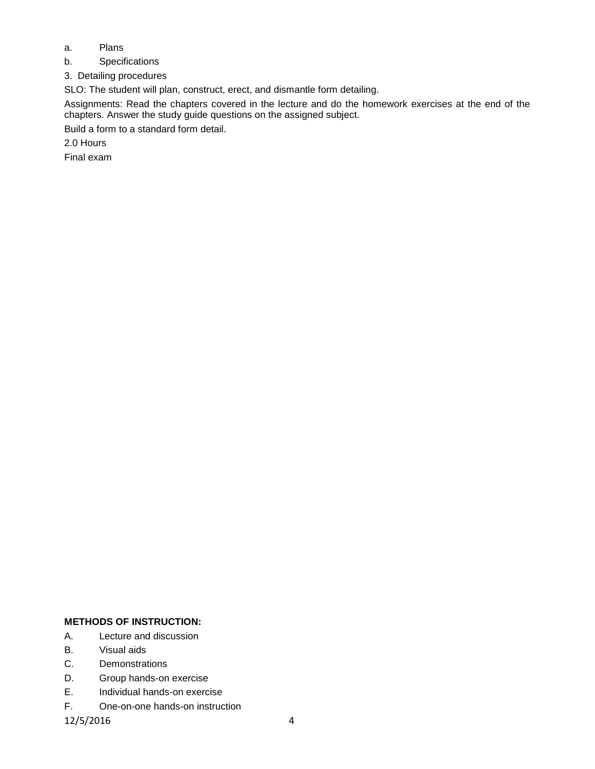- a. Plans
- b. Specifications
- 3. Detailing procedures

SLO: The student will plan, construct, erect, and dismantle form detailing.

Assignments: Read the chapters covered in the lecture and do the homework exercises at the end of the chapters. Answer the study guide questions on the assigned subject.

Build a form to a standard form detail.

2.0 Hours

Final exam

# **METHODS OF INSTRUCTION:**

- A. Lecture and discussion
- B. Visual aids
- C. Demonstrations
- D. Group hands-on exercise
- E. Individual hands-on exercise
- F. One-on-one hands-on instruction

12/5/2016 4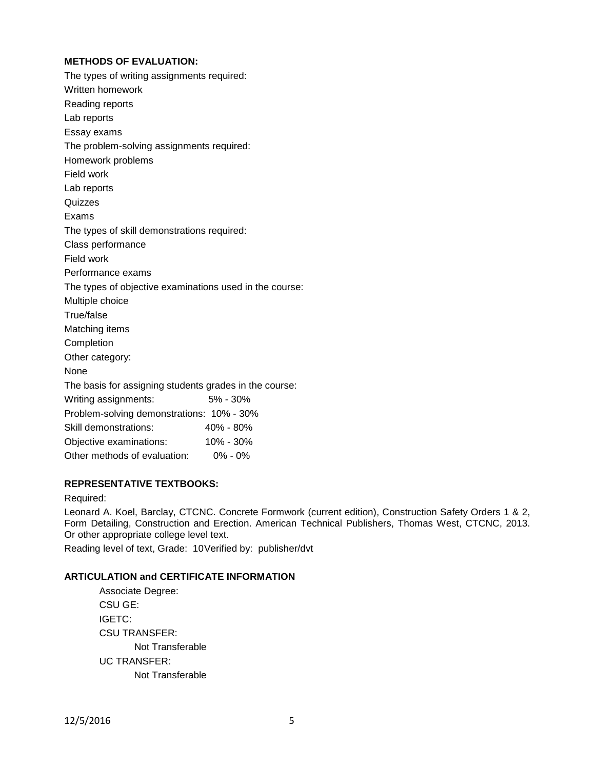# **METHODS OF EVALUATION:**

| The types of writing assignments required:              |           |
|---------------------------------------------------------|-----------|
| Written homework                                        |           |
| Reading reports                                         |           |
| Lab reports                                             |           |
| Essay exams                                             |           |
| The problem-solving assignments required:               |           |
| Homework problems                                       |           |
| Field work                                              |           |
| Lab reports                                             |           |
| Quizzes                                                 |           |
| Exams                                                   |           |
| The types of skill demonstrations required:             |           |
| Class performance                                       |           |
| Field work                                              |           |
| Performance exams                                       |           |
| The types of objective examinations used in the course: |           |
| Multiple choice                                         |           |
| True/false                                              |           |
| Matching items                                          |           |
| Completion                                              |           |
| Other category:                                         |           |
| None                                                    |           |
| The basis for assigning students grades in the course:  |           |
| Writing assignments:                                    | 5% - 30%  |
| Problem-solving demonstrations: 10% - 30%               |           |
| Skill demonstrations:                                   | 40% - 80% |
| Objective examinations:                                 | 10% - 30% |
| Other methods of evaluation:                            | 0% - 0%   |

# **REPRESENTATIVE TEXTBOOKS:**

#### Required:

Leonard A. Koel, Barclay, CTCNC. Concrete Formwork (current edition), Construction Safety Orders 1 & 2, Form Detailing, Construction and Erection. American Technical Publishers, Thomas West, CTCNC, 2013. Or other appropriate college level text.

Reading level of text, Grade: 10Verified by: publisher/dvt

#### **ARTICULATION and CERTIFICATE INFORMATION**

| Associate Degree: |  |  |  |
|-------------------|--|--|--|
| CSU GE:           |  |  |  |
| IGETC:            |  |  |  |
| CSU TRANSFER:     |  |  |  |
| Not Transferable  |  |  |  |
| UC TRANSFER:      |  |  |  |
| Not Transferable  |  |  |  |